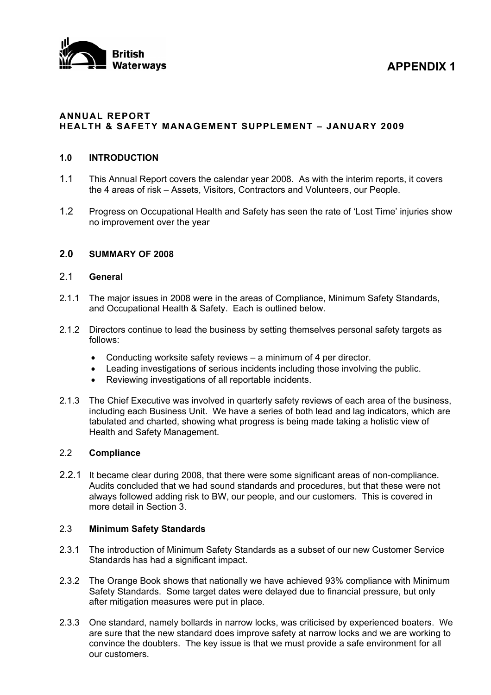

**Materways APPENDIX 1** 

#### **ANNUAL REPORT HEALTH & SAFETY MANAGEMENT SUPPLEMENT – JANUARY 2009**

#### **1.0 INTRODUCTION**

- 1.1 This Annual Report covers the calendar year 2008. As with the interim reports, it covers the 4 areas of risk – Assets, Visitors, Contractors and Volunteers, our People.
- 1.2 Progress on Occupational Health and Safety has seen the rate of 'Lost Time' injuries show no improvement over the year

#### **2.0 SUMMARY OF 2008**

## 2.1 **General**

- 2.1.1 The major issues in 2008 were in the areas of Compliance, Minimum Safety Standards, and Occupational Health & Safety. Each is outlined below.
- 2.1.2 Directors continue to lead the business by setting themselves personal safety targets as follows:
	- Conducting worksite safety reviews a minimum of 4 per director.
	- Leading investigations of serious incidents including those involving the public.
	- Reviewing investigations of all reportable incidents.
- 2.1.3 The Chief Executive was involved in quarterly safety reviews of each area of the business, including each Business Unit. We have a series of both lead and lag indicators, which are tabulated and charted, showing what progress is being made taking a holistic view of Health and Safety Management.

#### 2.2 **Compliance**

2.2.1 It became clear during 2008, that there were some significant areas of non-compliance. Audits concluded that we had sound standards and procedures, but that these were not always followed adding risk to BW, our people, and our customers. This is covered in more detail in Section 3.

#### 2.3 **Minimum Safety Standards**

- 2.3.1 The introduction of Minimum Safety Standards as a subset of our new Customer Service Standards has had a significant impact.
- 2.3.2 The Orange Book shows that nationally we have achieved 93% compliance with Minimum Safety Standards. Some target dates were delayed due to financial pressure, but only after mitigation measures were put in place.
- 2.3.3 One standard, namely bollards in narrow locks, was criticised by experienced boaters. We are sure that the new standard does improve safety at narrow locks and we are working to convince the doubters. The key issue is that we must provide a safe environment for all our customers.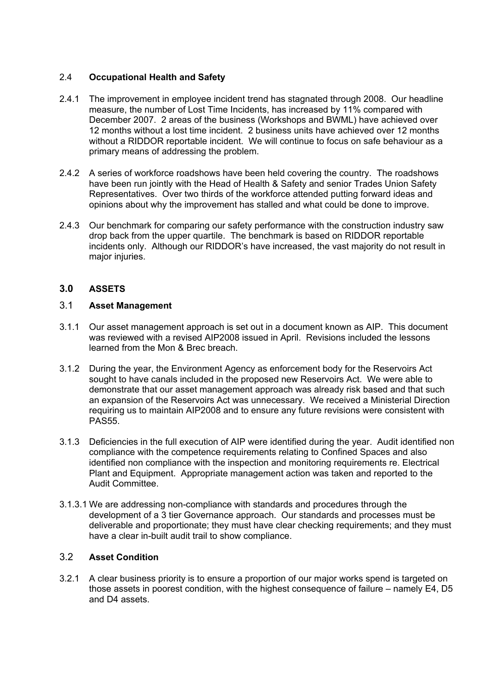## 2.4 **Occupational Health and Safety**

- 2.4.1 The improvement in employee incident trend has stagnated through 2008. Our headline measure, the number of Lost Time Incidents, has increased by 11% compared with December 2007. 2 areas of the business (Workshops and BWML) have achieved over 12 months without a lost time incident. 2 business units have achieved over 12 months without a RIDDOR reportable incident. We will continue to focus on safe behaviour as a primary means of addressing the problem.
- 2.4.2 A series of workforce roadshows have been held covering the country. The roadshows have been run jointly with the Head of Health & Safety and senior Trades Union Safety Representatives. Over two thirds of the workforce attended putting forward ideas and opinions about why the improvement has stalled and what could be done to improve.
- 2.4.3 Our benchmark for comparing our safety performance with the construction industry saw drop back from the upper quartile. The benchmark is based on RIDDOR reportable incidents only. Although our RIDDOR's have increased, the vast majority do not result in major injuries.

## **3.0 ASSETS**

# 3.1 **Asset Management**

- 3.1.1 Our asset management approach is set out in a document known as AIP. This document was reviewed with a revised AIP2008 issued in April. Revisions included the lessons learned from the Mon & Brec breach.
- 3.1.2 During the year, the Environment Agency as enforcement body for the Reservoirs Act sought to have canals included in the proposed new Reservoirs Act. We were able to demonstrate that our asset management approach was already risk based and that such an expansion of the Reservoirs Act was unnecessary. We received a Ministerial Direction requiring us to maintain AIP2008 and to ensure any future revisions were consistent with PAS55.
- 3.1.3 Deficiencies in the full execution of AIP were identified during the year. Audit identified non compliance with the competence requirements relating to Confined Spaces and also identified non compliance with the inspection and monitoring requirements re. Electrical Plant and Equipment. Appropriate management action was taken and reported to the Audit Committee.
- 3.1.3.1 We are addressing non-compliance with standards and procedures through the development of a 3 tier Governance approach. Our standards and processes must be deliverable and proportionate; they must have clear checking requirements; and they must have a clear in-built audit trail to show compliance.

### 3.2 **Asset Condition**

3.2.1 A clear business priority is to ensure a proportion of our major works spend is targeted on those assets in poorest condition, with the highest consequence of failure – namely E4, D5 and D4 assets.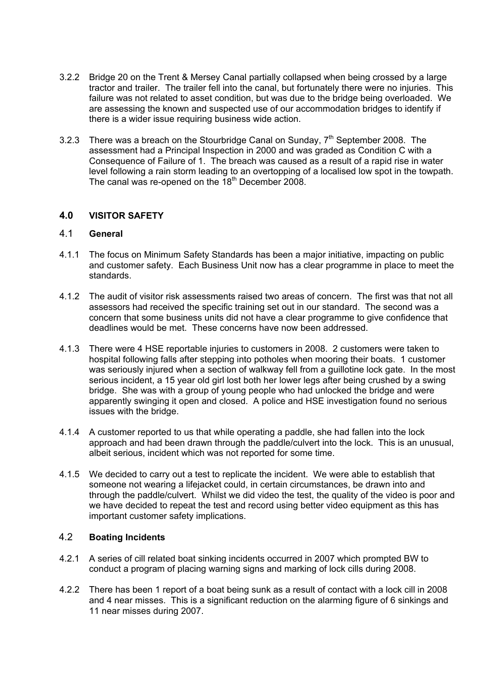- 3.2.2 Bridge 20 on the Trent & Mersey Canal partially collapsed when being crossed by a large tractor and trailer. The trailer fell into the canal, but fortunately there were no injuries. This failure was not related to asset condition, but was due to the bridge being overloaded. We are assessing the known and suspected use of our accommodation bridges to identify if there is a wider issue requiring business wide action.
- 3.2.3 There was a breach on the Stourbridge Canal on Sunday,  $7<sup>th</sup>$  September 2008. The assessment had a Principal Inspection in 2000 and was graded as Condition C with a Consequence of Failure of 1. The breach was caused as a result of a rapid rise in water level following a rain storm leading to an overtopping of a localised low spot in the towpath. The canal was re-opened on the  $18<sup>th</sup>$  December 2008.

### **4.0 VISITOR SAFETY**

### 4.1 **General**

- 4.1.1 The focus on Minimum Safety Standards has been a major initiative, impacting on public and customer safety. Each Business Unit now has a clear programme in place to meet the standards.
- 4.1.2 The audit of visitor risk assessments raised two areas of concern. The first was that not all assessors had received the specific training set out in our standard. The second was a concern that some business units did not have a clear programme to give confidence that deadlines would be met. These concerns have now been addressed.
- 4.1.3 There were 4 HSE reportable injuries to customers in 2008. 2 customers were taken to hospital following falls after stepping into potholes when mooring their boats. 1 customer was seriously injured when a section of walkway fell from a guillotine lock gate. In the most serious incident, a 15 year old girl lost both her lower legs after being crushed by a swing bridge. She was with a group of young people who had unlocked the bridge and were apparently swinging it open and closed. A police and HSE investigation found no serious issues with the bridge.
- 4.1.4 A customer reported to us that while operating a paddle, she had fallen into the lock approach and had been drawn through the paddle/culvert into the lock. This is an unusual, albeit serious, incident which was not reported for some time.
- 4.1.5 We decided to carry out a test to replicate the incident. We were able to establish that someone not wearing a lifejacket could, in certain circumstances, be drawn into and through the paddle/culvert. Whilst we did video the test, the quality of the video is poor and we have decided to repeat the test and record using better video equipment as this has important customer safety implications.

# 4.2 **Boating Incidents**

- 4.2.1 A series of cill related boat sinking incidents occurred in 2007 which prompted BW to conduct a program of placing warning signs and marking of lock cills during 2008.
- 4.2.2 There has been 1 report of a boat being sunk as a result of contact with a lock cill in 2008 and 4 near misses. This is a significant reduction on the alarming figure of 6 sinkings and 11 near misses during 2007.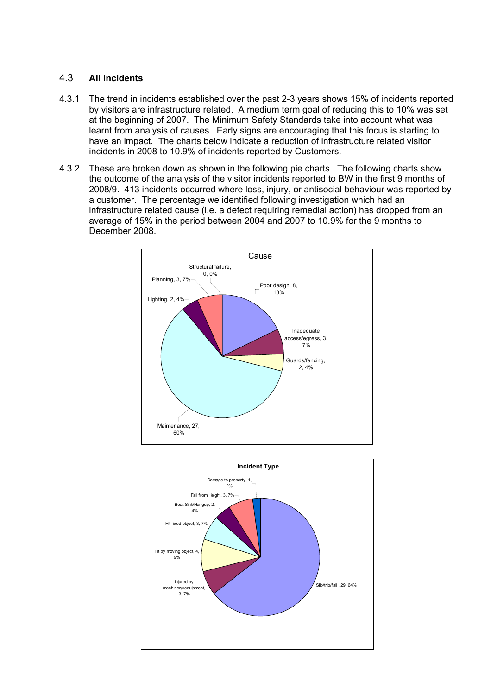## 4.3 **All Incidents**

- 4.3.1 The trend in incidents established over the past 2-3 years shows 15% of incidents reported by visitors are infrastructure related. A medium term goal of reducing this to 10% was set at the beginning of 2007. The Minimum Safety Standards take into account what was learnt from analysis of causes. Early signs are encouraging that this focus is starting to have an impact. The charts below indicate a reduction of infrastructure related visitor incidents in 2008 to 10.9% of incidents reported by Customers.
- 4.3.2 These are broken down as shown in the following pie charts. The following charts show the outcome of the analysis of the visitor incidents reported to BW in the first 9 months of 2008/9. 413 incidents occurred where loss, injury, or antisocial behaviour was reported by a customer. The percentage we identified following investigation which had an infrastructure related cause (i.e. a defect requiring remedial action) has dropped from an average of 15% in the period between 2004 and 2007 to 10.9% for the 9 months to December 2008.



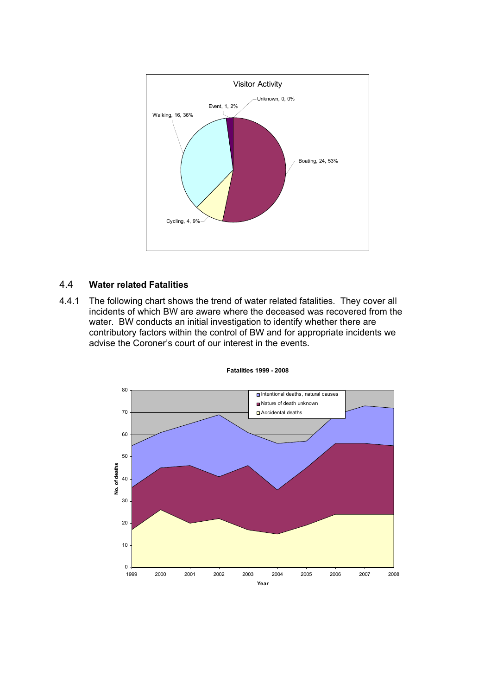

## 4.4 **Water related Fatalities**

4.4.1 The following chart shows the trend of water related fatalities. They cover all incidents of which BW are aware where the deceased was recovered from the water. BW conducts an initial investigation to identify whether there are contributory factors within the control of BW and for appropriate incidents we advise the Coroner's court of our interest in the events.



**Fatalities 1999 - 2008**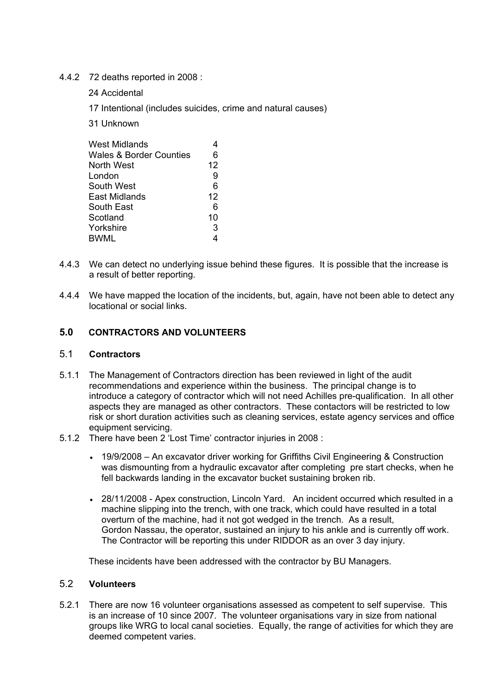### 4.4.2 72 deaths reported in 2008 :

- 24 Accidental
- 17 Intentional (includes suicides, crime and natural causes)
- 31 Unknown

| West Midlands                      |    |
|------------------------------------|----|
| <b>Wales &amp; Border Counties</b> | 6  |
| North West                         | 12 |
| London                             | 9  |
| South West                         | 6  |
| East Midlands                      | 12 |
| South East                         | 6  |
| Scotland                           | 10 |
| Yorkshire                          | 3  |
| BWML                               |    |
|                                    |    |

- 4.4.3 We can detect no underlying issue behind these figures. It is possible that the increase is a result of better reporting.
- 4.4.4 We have mapped the location of the incidents, but, again, have not been able to detect any locational or social links.

## **5.0 CONTRACTORS AND VOLUNTEERS**

### 5.1 **Contractors**

- 5.1.1 The Management of Contractors direction has been reviewed in light of the audit recommendations and experience within the business. The principal change is to introduce a category of contractor which will not need Achilles pre-qualification. In all other aspects they are managed as other contractors. These contactors will be restricted to low risk or short duration activities such as cleaning services, estate agency services and office equipment servicing.
- 5.1.2 There have been 2 'Lost Time' contractor injuries in 2008 :
	- 19/9/2008 An excavator driver working for Griffiths Civil Engineering & Construction was dismounting from a hydraulic excavator after completing pre start checks, when he fell backwards landing in the excavator bucket sustaining broken rib.
	- 28/11/2008 Apex construction, Lincoln Yard. An incident occurred which resulted in a machine slipping into the trench, with one track, which could have resulted in a total overturn of the machine, had it not got wedged in the trench. As a result, Gordon Nassau, the operator, sustained an injury to his ankle and is currently off work. The Contractor will be reporting this under RIDDOR as an over 3 day injury.

These incidents have been addressed with the contractor by BU Managers.

## 5.2 **Volunteers**

5.2.1 There are now 16 volunteer organisations assessed as competent to self supervise. This is an increase of 10 since 2007. The volunteer organisations vary in size from national groups like WRG to local canal societies. Equally, the range of activities for which they are deemed competent varies.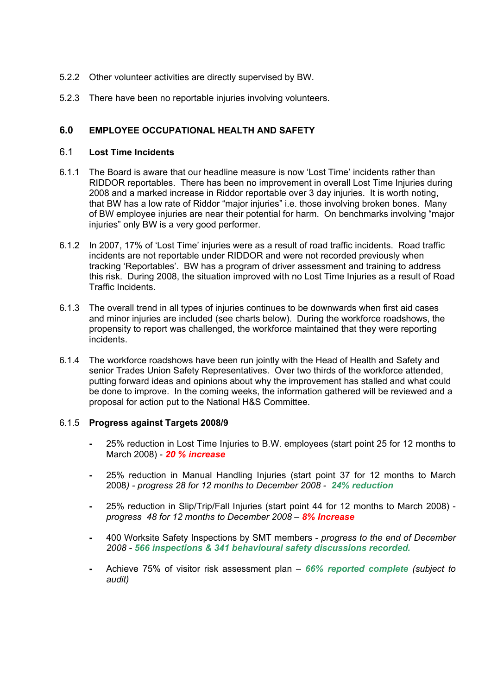- 5.2.2 Other volunteer activities are directly supervised by BW.
- 5.2.3 There have been no reportable injuries involving volunteers.

## **6.0 EMPLOYEE OCCUPATIONAL HEALTH AND SAFETY**

### 6.1 **Lost Time Incidents**

- 6.1.1 The Board is aware that our headline measure is now 'Lost Time' incidents rather than RIDDOR reportables. There has been no improvement in overall Lost Time Injuries during 2008 and a marked increase in Riddor reportable over 3 day injuries. It is worth noting, that BW has a low rate of Riddor "major injuries" i.e. those involving broken bones. Many of BW employee injuries are near their potential for harm. On benchmarks involving "major injuries" only BW is a very good performer.
- 6.1.2 In 2007, 17% of 'Lost Time' injuries were as a result of road traffic incidents. Road traffic incidents are not reportable under RIDDOR and were not recorded previously when tracking 'Reportables'. BW has a program of driver assessment and training to address this risk. During 2008, the situation improved with no Lost Time Injuries as a result of Road Traffic Incidents.
- 6.1.3 The overall trend in all types of injuries continues to be downwards when first aid cases and minor injuries are included (see charts below). During the workforce roadshows, the propensity to report was challenged, the workforce maintained that they were reporting incidents.
- 6.1.4 The workforce roadshows have been run jointly with the Head of Health and Safety and senior Trades Union Safety Representatives. Over two thirds of the workforce attended, putting forward ideas and opinions about why the improvement has stalled and what could be done to improve. In the coming weeks, the information gathered will be reviewed and a proposal for action put to the National H&S Committee.

### 6.1.5 **Progress against Targets 2008/9**

- 25% reduction in Lost Time Injuries to B.W. employees (start point 25 for 12 months to March 2008) - *20 % increase*
- 25% reduction in Manual Handling Injuries (start point 37 for 12 months to March 2008*) - progress 28 for 12 months to December 2008 - 24% reduction*
- 25% reduction in Slip/Trip/Fall Injuries (start point 44 for 12 months to March 2008) *progress 48 for 12 months to December 2008 – 8% Increase*
- 400 Worksite Safety Inspections by SMT members *progress to the end of December 2008 - 566 inspections & 341 behavioural safety discussions recorded.*
- Achieve 75% of visitor risk assessment plan *66% reported complete (subject to audit)*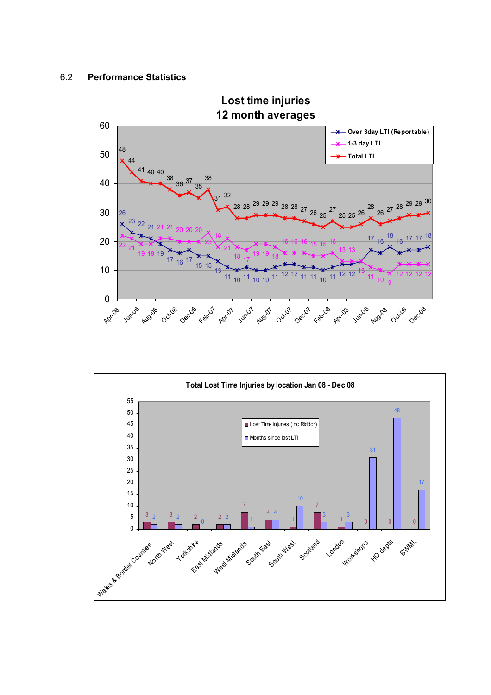#### 6.2 **Performance Statistics**



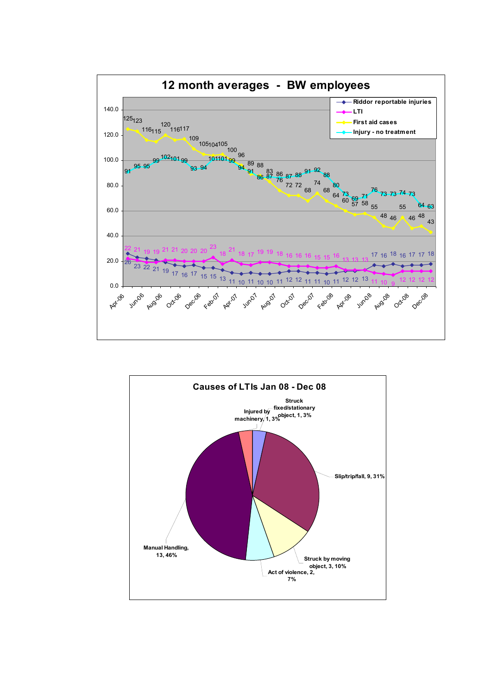